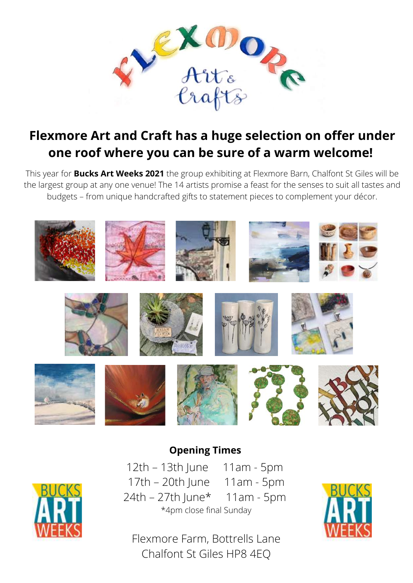

## **Flexmore Art and Craft has a huge selection on offer under one roof where you can be sure of a warm welcome!**

This year for **Bucks Art Weeks 2021** the group exhibiting at Flexmore Barn, Chalfont St Giles will be the largest group at any one venue! The 14 artists promise a feast for the senses to suit all tastes and budgets – from unique handcrafted gifts to statement pieces to complement your décor.



## **Opening Times**



12th – 13th June 11am - 5pm 17th – 20th June 11am - 5pm 24th – 27th June\* 11am - 5pm \*4pm close final Sunday



Flexmore Farm, Bottrells Lane Chalfont St Giles HP8 4EQ